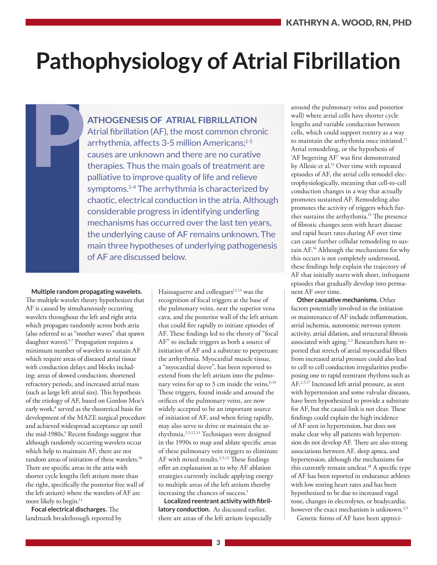# **Pathophysiology of Atrial Fibrillation**

**ATHOGENESIS OF ATRIAL FIBRILLATION**

Atrial fibrillation (AF), the most common chronic arrhythmia, affects 3-5 million Americans;<sup>1-5</sup> causes are unknown and there are no curative therapies. Thus the main goals of treatment are palliative to improve quality of life and relieve symptoms.<sup>1-4</sup> The arrhythmia is characterized by chaotic, electrical conduction in the atria. Although considerable progress in identifying underling mechanisms has occurred over the last ten years, the underlying cause of AF remains unknown. The main three hypotheses of underlying pathogenesis of AF are discussed below.

**Multiple random propagating wavelets.** The multiple wavelet theory hypothesizes that AF is caused by simultaneously occurring wavelets throughout the left and right atria which propagate randomly across both atria (also referred to as "mother waves" that spawn daughter waves).5-7 Propagation requires a minimum number of wavelets to sustain AF which require areas of diseased atrial tissue with conduction delays and blocks including: areas of slowed conduction, shortened refractory periods, and increased atrial mass (such as large left atrial size). This hypothesis of the etiology of AF, based on Gordon Moe's early work,<sup>8</sup> served as the theoretical basis for development of the MAZE surgical procedure and achieved widespread acceptance up until the mid-1980s.<sup>9</sup> Recent findings suggest that although randomly occurring wavelets occur which help to maintain AF, there are not random areas of initiation of these wavelets.10 There are specific areas in the atria with shorter cycle lengths (left atrium more than the right, specifically the posterior free wall of the left atrium) where the wavelets of AF are more likely to begin.<sup>11</sup>

P

**Focal electrical discharges.** The landmark breakthrough reported by

Haissaguerre and colleagues $12,13$  was the recognition of focal triggers at the base of the pulmonary veins, near the superior vena cava, and the posterior wall of the left atrium that could fire rapidly to initiate episodes of AF. These findings led to the theory of "focal AF" to include triggers as both a source of initiation of AF and a substrate to perpetuate the arrhythmia. Myocardial muscle tissue, a "myocardial sleeve", has been reported to extend from the left atrium into the pulmonary veins for up to 3 cm inside the veins.<sup>6,14</sup> These triggers, found inside and around the orifices of the pulmonary veins, are now widely accepted to be an important source of initiation of AF, and when firing rapidly, may also serve to drive or maintain the arrhythmia.2,5,12,13 Techniques were designed in the 1990s to map and ablate specific areas of these pulmonary vein triggers to eliminate AF with mixed results.<sup>2,5,13</sup> These findings offer an explanation as to why AF ablation strategies currently include applying energy to multiple areas of the left atrium thereby increasing the chances of success.<sup>5</sup>

**Localized reentrant activity with fibrillatory conduction.** As discussed earlier, there are areas of the left atrium (especially

around the pulmonary veins and posterior wall) where atrial cells have shorter cycle lengths and variable conduction between cells, which could support reentry as a way to maintain the arrhythmia once initiated.<sup>11</sup> Atrial remodeling, or the hypothesis of 'AF begetting AF' was first demonstrated by Allesie et al.<sup>15</sup> Over time with repeated episodes of AF, the atrial cells remodel electrophysiologically, meaning that cell-to-cell conduction changes in a way that actually promotes sustained AF. Remodeling also promotes the activity of triggers which further sustains the arrhythmia.<sup>15</sup> The presence of fibrotic changes seen with heart disease and rapid heart rates during AF over time can cause further cellular remodeling to sustain AF.16 Although the mechanisms for why this occurs is not completely understood, these findings help explain the trajectory of AF that initially starts with short, infrequent episodes that gradually develop into permanent AF over time.

**Other causative mechanisms.** Other factors potentially involved in the initiation or maintenance of AF include inflammation, atrial ischemia, autonomic nervous system activity, atrial dilation, and structural fibrosis associated with aging.<sup>2,3</sup> Researchers have reported that stretch of atrial myocardial fibers from increased atrial pressure could also lead to cell to cell conduction irregularities predisposing one to rapid reentrant rhythms such as AF.<sup>2,5,17</sup> Increased left atrial pressure, as seen with hypertension and some valvular diseases, have been hypothesized to provide a substrate for AF, but the causal link is not clear. These findings could explain the high incidence of AF seen in hypertension, but does not make clear why all patients with hypertension do not develop AF. There are also strong associations between AF, sleep apnea, and hypertension, although the mechanisms for this currently remain unclear.18 A specific type of AF has been reported in endurance athletes with low resting heart rates and has been hypothesized to be due to increased vagal tone, changes in electrolytes, or bradycardia; however the exact mechanism is unknown.<sup>2,5</sup>

Genetic forms of AF have been appreci-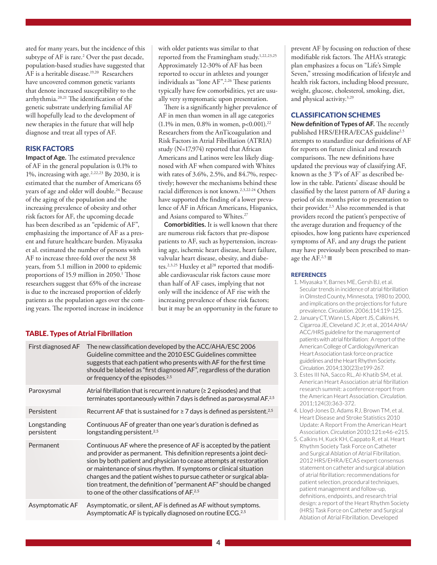ated for many years, but the incidence of this subtype of AF is rare.<sup>2</sup> Over the past decade, population-based studies have suggested that AF is a heritable disease.<sup>19,20</sup> Researchers have uncovered common genetic variants that denote increased susceptibility to the arrhythmia.20,21 The identification of the genetic substrate underlying familial AF will hopefully lead to the development of new therapies in the future that will help diagnose and treat all types of AF.

# RISK FACTORS

**Impact of Age.** The estimated prevalence of AF in the general population is 0.1% to 1%, increasing with age.<sup>2,22,23</sup> By 2030, it is estimated that the number of Americans 65 years of age and older will double.<sup>24</sup> Because of the aging of the population and the increasing prevalence of obesity and other risk factors for AF, the upcoming decade has been described as an "epidemic of AF", emphasizing the importance of AF as a present and future healthcare burden. Miyasaka et al. estimated the number of persons with AF to increase three-fold over the next 38 years, from 5.1 million in 2000 to epidemic proportions of 15.9 million in 2050.<sup>1</sup> Those researchers suggest that 65% of the increase is due to the increased proportion of elderly patients as the population ages over the coming years. The reported increase in incidence

# with older patients was similar to that reported from the Framingham study.<sup>1,22,23,25</sup> Approximately 12-30% of AF has been reported to occur in athletes and younger individuals as "lone AF".2,26 These patients typically have few comorbidities, yet are usually very symptomatic upon presentation.

There is a significantly higher prevalence of AF in men than women in all age categories  $(1.1\%$  in men, 0.8% in women, p<0.001).<sup>22</sup> Researchers from the AnTicoagulation and Risk Factors in Atrial Fibrillation (ATRIA) study (N=17,974) reported that African Americans and Latinos were less likely diagnosed with AF when compared with Whites with rates of 3.6%, 2.5%, and 84.7%, respectively; however the mechanisms behind these racial differences is not known.<sup>2,3,22-24</sup> Others have supported the finding of a lower prevalence of AF in African Americans, Hispanics, and Asians compared to Whites.<sup>27</sup>

**Comorbidities.** It is well known that there are numerous risk factors that pre-dispose patients to AF, such as hypertension, increasing age, ischemic heart disease, heart failure, valvular heart disease, obesity, and diabetes.<sup>2,3,25</sup> Huxley et al<sup>28</sup> reported that modifiable cardiovascular risk factors cause more than half of AF cases, implying that not only will the incidence of AF rise with the increasing prevalence of these risk factors; but it may be an opportunity in the future to

# TABLE. Types of Atrial Fibrillation

| First diagnosed AF         | The new classification developed by the ACC/AHA/ESC 2006<br>Guideline committee and the 2010 ESC Guidelines committee<br>suggests that each patient who presents with AF for the first time<br>should be labeled as "first diagnosed AF", regardless of the duration<br>or frequency of the episodes. <sup>2,5</sup>                                                                                                                                                                           |
|----------------------------|------------------------------------------------------------------------------------------------------------------------------------------------------------------------------------------------------------------------------------------------------------------------------------------------------------------------------------------------------------------------------------------------------------------------------------------------------------------------------------------------|
| Paroxysmal                 | Atrial fibrillation that is recurrent in nature (≥ 2 episodes) and that<br>terminates spontaneously within 7 days is defined as paroxysmal AF. <sup>2,5</sup>                                                                                                                                                                                                                                                                                                                                  |
| Persistent                 | Recurrent AF that is sustained for $\geq 7$ days is defined as persistent. <sup>2,5</sup>                                                                                                                                                                                                                                                                                                                                                                                                      |
| Longstanding<br>persistent | Continuous AF of greater than one year's duration is defined as<br>longstanding persistent. <sup>2,5</sup>                                                                                                                                                                                                                                                                                                                                                                                     |
| Permanent                  | Continuous AF where the presence of AF is accepted by the patient<br>and provider as permanent. This definition represents a joint deci-<br>sion by both patient and physician to cease attempts at restoration<br>or maintenance of sinus rhythm. If symptoms or clinical situation<br>changes and the patient wishes to pursue catheter or surgical abla-<br>tion treatment, the definition of "permanent AF" should be changed<br>to one of the other classifications of AF. <sup>2,5</sup> |
| Asymptomatic AF            | Asymptomatic, or silent, AF is defined as AF without symptoms.<br>Asymptomatic AF is typically diagnosed on routine ECG. <sup>2,5</sup>                                                                                                                                                                                                                                                                                                                                                        |

prevent AF by focusing on reduction of these modifiable risk factors. The AHA's strategic plan emphasizes a focus on "Life's Simple Seven," stressing modification of lifestyle and health risk factors, including blood pressure, weight, glucose, cholesterol, smoking, diet, and physical activity.<sup>3,29</sup>

### CLASSIFICATION SCHEMES

**New definition of Types of AF.** The recently published HRS/EHRA/ECAS guideline<sup>2,5</sup> attempts to standardize our definitions of AF for reports on future clinical and research comparisons. The new definitions have updated the previous way of classifying AF, known as the 3 'P's of AF' as described below in the table. Patients' disease should be classified by the latest pattern of AF during a period of six months prior to presentation to their provider.<sup>2,5</sup> Also recommended is that providers record the patient's perspective of the average duration and frequency of the episodes, how long patients have experienced symptoms of AF, and any drugs the patient may have previously been prescribed to manage the AF.<sup>2,5</sup>

#### **REFERENCES**

- 1. Miyasaka Y, Barnes ME, Gersh BJ, et al. Secular trends in incidence of atrial fibrillation in Olmsted County, Minnesota, 1980 to 2000, and implications on the projections for future prevalence. *Circulation*. 2006;114:119-125.
- 2. January CT, Wann LS, Alpert JS, Calkins H, Cigarroa JE, Cleveland JC Jr, et al., 2014 AHA/ ACC/HRS guideline for the management of patients with atrial fibrillation: A report of the American College of Cardiology/American Heart Association task force on practice guidelines and the Heart Rhythm Society. *Circulation*. 2014;130(23):e199-267.
- 3. Estes III NA, Sacco RL, Al-Khatib SM, et al. American Heart Association atrial fibrillation research summit: a conference report from the American Heart Association. *Circulation*. 2011;124(3):363-372.
- 4. Lloyd-Jones D, Adams RJ, Brown TM, et al. Heart Disease and Stroke Statistics 2010 Update: A Report From the American Heart Association. *Circulation* 2010;121:e46-e215.
- 5. Calkins H, Kuck KH, Cappato R, et al. Heart Rhythm Society Task Force on Catheter and Surgical Ablation of Atrial Fibrillation. 2012 HRS/EHRA/ECAS expert consensus statement on catheter and surgical ablation of atrial fibrillation: recommendations for patient selection, procedural techniques, patient management and follow-up, definitions, endpoints, and research trial design: a report of the Heart Rhythm Society (HRS) Task Force on Catheter and Surgical Ablation of Atrial Fibrillation. Developed